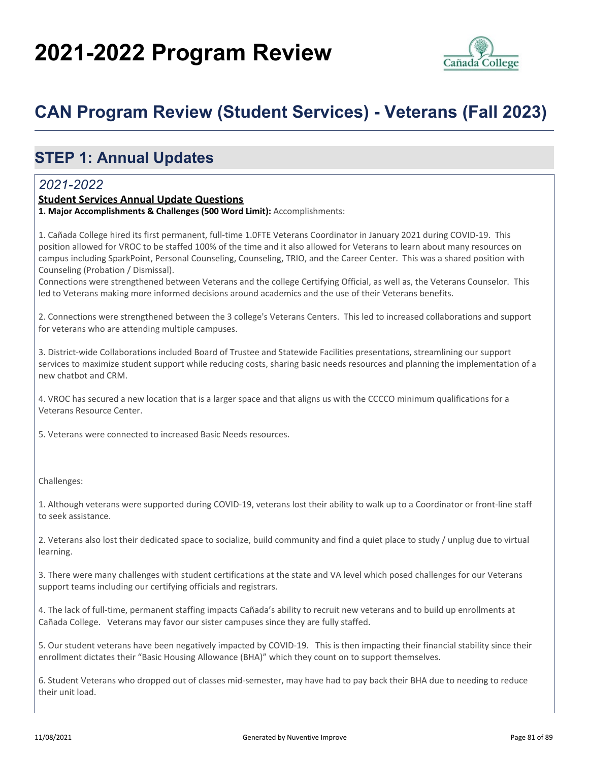# **2021-2022 Program Review**



## **CAN Program Review (Student Services) - Veterans (Fall 2023)**

## **STEP 1: Annual Updates**

#### *2021-2022*

#### **Student Services Annual Update Questions**

**1. Major Accomplishments & Challenges (500 Word Limit):** Accomplishments:

1. Cañada College hired its first permanent, full-time 1.0FTE Veterans Coordinator in January 2021 during COVID-19. This position allowed for VROC to be staffed 100% of the time and it also allowed for Veterans to learn about many resources on campus including SparkPoint, Personal Counseling, Counseling, TRIO, and the Career Center. This was a shared position with Counseling (Probation / Dismissal).

Connections were strengthened between Veterans and the college Certifying Official, as well as, the Veterans Counselor. This led to Veterans making more informed decisions around academics and the use of their Veterans benefits.

2. Connections were strengthened between the 3 college's Veterans Centers. This led to increased collaborations and support for veterans who are attending multiple campuses.

3. District-wide Collaborations included Board of Trustee and Statewide Facilities presentations, streamlining our support services to maximize student support while reducing costs, sharing basic needs resources and planning the implementation of a new chatbot and CRM.

4. VROC has secured a new location that is a larger space and that aligns us with the CCCCO minimum qualifications for a Veterans Resource Center.

5. Veterans were connected to increased Basic Needs resources.

Challenges:

1. Although veterans were supported during COVID-19, veterans lost their ability to walk up to a Coordinator or front-line staff to seek assistance.

2. Veterans also lost their dedicated space to socialize, build community and find a quiet place to study / unplug due to virtual learning.

3. There were many challenges with student certifications at the state and VA level which posed challenges for our Veterans support teams including our certifying officials and registrars.

4. The lack of full-time, permanent staffing impacts Cañada's ability to recruit new veterans and to build up enrollments at Cañada College. Veterans may favor our sister campuses since they are fully staffed.

5. Our student veterans have been negatively impacted by COVID-19. This is then impacting their financial stability since their enrollment dictates their "Basic Housing Allowance (BHA)" which they count on to support themselves.

6. Student Veterans who dropped out of classes mid-semester, may have had to pay back their BHA due to needing to reduce their unit load.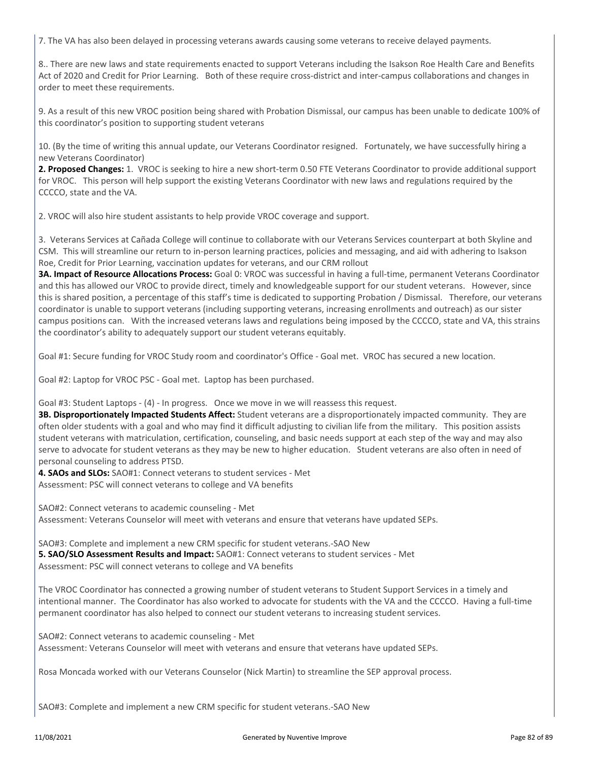7. The VA has also been delayed in processing veterans awards causing some veterans to receive delayed payments.

8.. There are new laws and state requirements enacted to support Veterans including the Isakson Roe Health Care and Benefits Act of 2020 and Credit for Prior Learning. Both of these require cross-district and inter-campus collaborations and changes in order to meet these requirements.

9. As a result of this new VROC position being shared with Probation Dismissal, our campus has been unable to dedicate 100% of this coordinator's position to supporting student veterans

10. (By the time of writing this annual update, our Veterans Coordinator resigned. Fortunately, we have successfully hiring a new Veterans Coordinator)

**2. Proposed Changes:** 1. VROC is seeking to hire a new short-term 0.50 FTE Veterans Coordinator to provide additional support for VROC. This person will help support the existing Veterans Coordinator with new laws and regulations required by the CCCCO, state and the VA.

2. VROC will also hire student assistants to help provide VROC coverage and support.

3. Veterans Services at Cañada College will continue to collaborate with our Veterans Services counterpart at both Skyline and CSM. This will streamline our return to in-person learning practices, policies and messaging, and aid with adhering to Isakson Roe, Credit for Prior Learning, vaccination updates for veterans, and our CRM rollout

**3A. Impact of Resource Allocations Process:** Goal 0: VROC was successful in having a full-time, permanent Veterans Coordinator and this has allowed our VROC to provide direct, timely and knowledgeable support for our student veterans. However, since this is shared position, a percentage of this staff's time is dedicated to supporting Probation / Dismissal. Therefore, our veterans coordinator is unable to support veterans (including supporting veterans, increasing enrollments and outreach) as our sister campus positions can. With the increased veterans laws and regulations being imposed by the CCCCO, state and VA, this strains the coordinator's ability to adequately support our student veterans equitably.

Goal #1: Secure funding for VROC Study room and coordinator's Office - Goal met. VROC has secured a new location.

Goal #2: Laptop for VROC PSC - Goal met. Laptop has been purchased.

Goal #3: Student Laptops - (4) - In progress. Once we move in we will reassess this request.

**3B. Disproportionately Impacted Students Affect:** Student veterans are a disproportionately impacted community. They are often older students with a goal and who may find it difficult adjusting to civilian life from the military. This position assists student veterans with matriculation, certification, counseling, and basic needs support at each step of the way and may also serve to advocate for student veterans as they may be new to higher education. Student veterans are also often in need of personal counseling to address PTSD.

**4. SAOs and SLOs:** SAO#1: Connect veterans to student services - Met Assessment: PSC will connect veterans to college and VA benefits

SAO#2: Connect veterans to academic counseling - Met Assessment: Veterans Counselor will meet with veterans and ensure that veterans have updated SEPs.

SAO#3: Complete and implement a new CRM specific for student veterans.-SAO New **5. SAO/SLO Assessment Results and Impact:** SAO#1: Connect veterans to student services - Met Assessment: PSC will connect veterans to college and VA benefits

The VROC Coordinator has connected a growing number of student veterans to Student Support Services in a timely and intentional manner. The Coordinator has also worked to advocate for students with the VA and the CCCCO. Having a full-time permanent coordinator has also helped to connect our student veterans to increasing student services.

SAO#2: Connect veterans to academic counseling - Met Assessment: Veterans Counselor will meet with veterans and ensure that veterans have updated SEPs.

Rosa Moncada worked with our Veterans Counselor (Nick Martin) to streamline the SEP approval process.

SAO#3: Complete and implement a new CRM specific for student veterans.-SAO New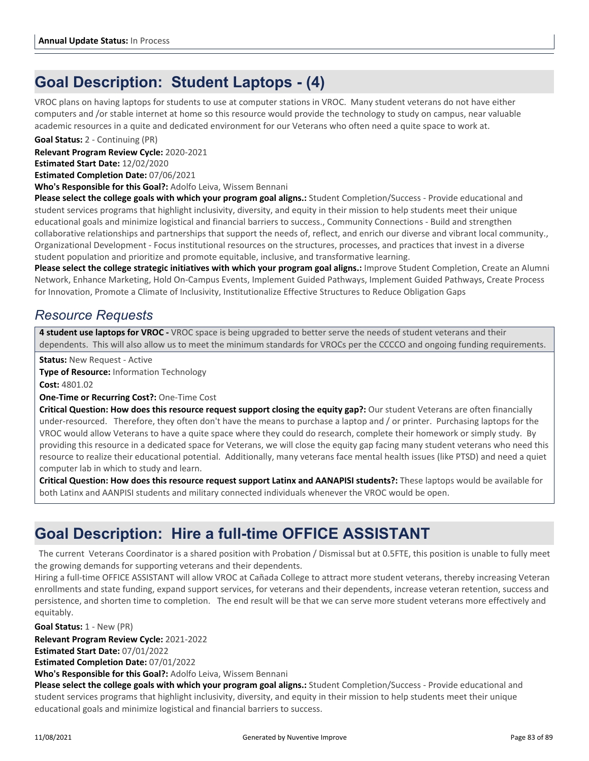### **Goal Description: Student Laptops - (4)**

VROC plans on having laptops for students to use at computer stations in VROC. Many student veterans do not have either computers and /or stable internet at home so this resource would provide the technology to study on campus, near valuable academic resources in a quite and dedicated environment for our Veterans who often need a quite space to work at.

**Goal Status:** 2 - Continuing (PR)

**Relevant Program Review Cycle:** 2020-2021

**Estimated Start Date:** 12/02/2020

**Estimated Completion Date:** 07/06/2021

**Who's Responsible for this Goal?:** Adolfo Leiva, Wissem Bennani

**Please select the college goals with which your program goal aligns.:** Student Completion/Success - Provide educational and student services programs that highlight inclusivity, diversity, and equity in their mission to help students meet their unique educational goals and minimize logistical and financial barriers to success., Community Connections - Build and strengthen collaborative relationships and partnerships that support the needs of, reflect, and enrich our diverse and vibrant local community., Organizational Development - Focus institutional resources on the structures, processes, and practices that invest in a diverse student population and prioritize and promote equitable, inclusive, and transformative learning.

Please select the college strategic initiatives with which your program goal aligns.: Improve Student Completion, Create an Alumni Network, Enhance Marketing, Hold On-Campus Events, Implement Guided Pathways, Implement Guided Pathways, Create Process for Innovation, Promote a Climate of Inclusivity, Institutionalize Effective Structures to Reduce Obligation Gaps

#### *Resource Requests*

**4 student use laptops for VROC -** VROC space is being upgraded to better serve the needs of student veterans and their dependents. This will also allow us to meet the minimum standards for VROCs per the CCCCO and ongoing funding requirements.

**Status:** New Request - Active

**Type of Resource:** Information Technology **Cost:** 4801.02

**One-Time or Recurring Cost?:** One-Time Cost

**Critical Question: How does this resource request support closing the equity gap?:** Our student Veterans are often financially under-resourced. Therefore, they often don't have the means to purchase a laptop and / or printer. Purchasing laptops for the VROC would allow Veterans to have a quite space where they could do research, complete their homework or simply study. By providing this resource in a dedicated space for Veterans, we will close the equity gap facing many student veterans who need this resource to realize their educational potential. Additionally, many veterans face mental health issues (like PTSD) and need a quiet computer lab in which to study and learn.

**Critical Question: How does this resource request support Latinx and AANAPISI students?:** These laptops would be available for both Latinx and AANPISI students and military connected individuals whenever the VROC would be open.

### **Goal Description: Hire a full-time OFFICE ASSISTANT**

 The current Veterans Coordinator is a shared position with Probation / Dismissal but at 0.5FTE, this position is unable to fully meet the growing demands for supporting veterans and their dependents.

Hiring a full-time OFFICE ASSISTANT will allow VROC at Cañada College to attract more student veterans, thereby increasing Veteran enrollments and state funding, expand support services, for veterans and their dependents, increase veteran retention, success and persistence, and shorten time to completion. The end result will be that we can serve more student veterans more effectively and equitably.

**Goal Status:** 1 - New (PR)

**Relevant Program Review Cycle:** 2021-2022

**Estimated Start Date:** 07/01/2022

**Estimated Completion Date:** 07/01/2022

**Who's Responsible for this Goal?:** Adolfo Leiva, Wissem Bennani

**Please select the college goals with which your program goal aligns.:** Student Completion/Success - Provide educational and student services programs that highlight inclusivity, diversity, and equity in their mission to help students meet their unique educational goals and minimize logistical and financial barriers to success.